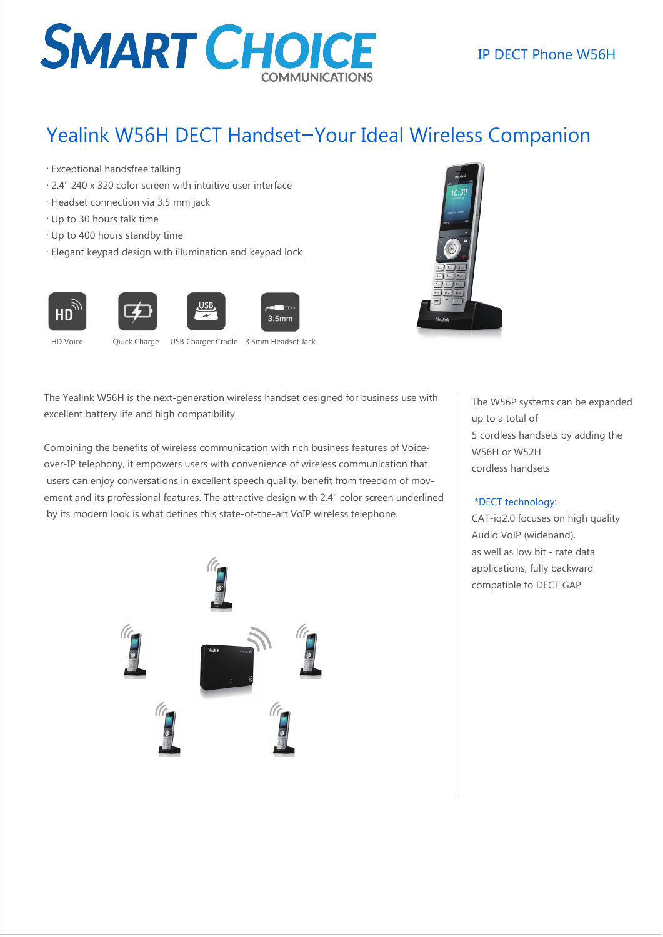# **SMART CHOICE**

### IP DECT Phone W56H

### Yealink W56H DECT Handset—Your Ideal Wireless Companion

- . Exceptional handsfree talking
- . 2.4" 240 x 320 color screen with intuitive user interface
- . Headset connection via 3.5 mm jack
- . Up to 30 hours talk time
- . Up to 400 hours standby time
- . Elegant keypad design with illumination and keypad lock





HD Voice Quick Charge USB Charger Cradle 3.5mm Headset Jack

The Yealink W56H is the next-generation wireless handset designed for business use with excellent battery life and high compatibility.

Combining the benefits of wireless communication with rich business features of Voiceover-IP telephony, it empowers users with convenience of wireless communication that users can enjoy conversations in excellent speech quality, benefit from freedom of movement and its professional features. The attractive design with 2.4" color screen underlined by its modern look is what defines this state-of-the-art VoIP wireless telephone.



The W56P systems can be expanded up to a total of 5 cordless handsets by adding the W56H or W52H cordless handsets

#### \*DECT technology:

CAT-iq2.0 focuses on high quality Audio VoIP (wideband), as well as low bit - rate data applications, fully backward compatible to DECT GAP